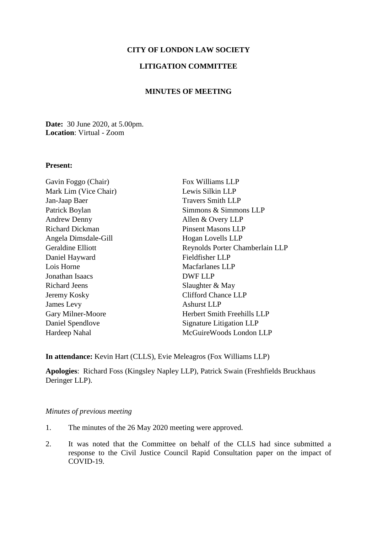# **CITY OF LONDON LAW SOCIETY**

# **LITIGATION COMMITTEE**

## **MINUTES OF MEETING**

**Date:** 30 June 2020, at 5.00pm. **Location**: Virtual - Zoom

#### **Present:**

| Fox Williams LLP                   |
|------------------------------------|
| Lewis Silkin LLP                   |
| <b>Travers Smith LLP</b>           |
| Simmons & Simmons LLP              |
| Allen & Overy LLP                  |
| <b>Pinsent Masons LLP</b>          |
| Hogan Lovells LLP                  |
| Reynolds Porter Chamberlain LLP    |
| Fieldfisher LLP                    |
| Macfarlanes LLP                    |
| <b>DWF LLP</b>                     |
| Slaughter & May                    |
| <b>Clifford Chance LLP</b>         |
| <b>Ashurst LLP</b>                 |
| <b>Herbert Smith Freehills LLP</b> |
| Signature Litigation LLP           |
| McGuireWoods London LLP            |
|                                    |

**In attendance:** Kevin Hart (CLLS), Evie Meleagros (Fox Williams LLP)

**Apologies**: Richard Foss (Kingsley Napley LLP), Patrick Swain (Freshfields Bruckhaus Deringer LLP).

#### *Minutes of previous meeting*

- 1. The minutes of the 26 May 2020 meeting were approved.
- 2. It was noted that the Committee on behalf of the CLLS had since submitted a response to the Civil Justice Council Rapid Consultation paper on the impact of COVID-19.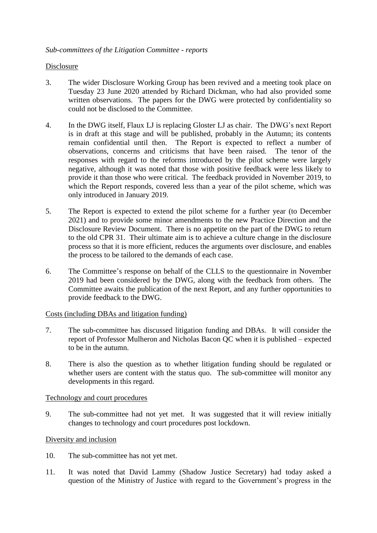# Disclosure

- 3. The wider Disclosure Working Group has been revived and a meeting took place on Tuesday 23 June 2020 attended by Richard Dickman, who had also provided some written observations. The papers for the DWG were protected by confidentiality so could not be disclosed to the Committee.
- 4. In the DWG itself, Flaux LJ is replacing Gloster LJ as chair. The DWG's next Report is in draft at this stage and will be published, probably in the Autumn; its contents remain confidential until then. The Report is expected to reflect a number of observations, concerns and criticisms that have been raised. The tenor of the responses with regard to the reforms introduced by the pilot scheme were largely negative, although it was noted that those with positive feedback were less likely to provide it than those who were critical. The feedback provided in November 2019, to which the Report responds, covered less than a year of the pilot scheme, which was only introduced in January 2019.
- 5. The Report is expected to extend the pilot scheme for a further year (to December 2021) and to provide some minor amendments to the new Practice Direction and the Disclosure Review Document. There is no appetite on the part of the DWG to return to the old CPR 31. Their ultimate aim is to achieve a culture change in the disclosure process so that it is more efficient, reduces the arguments over disclosure, and enables the process to be tailored to the demands of each case.
- 6. The Committee's response on behalf of the CLLS to the questionnaire in November 2019 had been considered by the DWG, along with the feedback from others. The Committee awaits the publication of the next Report, and any further opportunities to provide feedback to the DWG.

### Costs (including DBAs and litigation funding)

- 7. The sub-committee has discussed litigation funding and DBAs. It will consider the report of Professor Mulheron and Nicholas Bacon QC when it is published – expected to be in the autumn.
- 8. There is also the question as to whether litigation funding should be regulated or whether users are content with the status quo. The sub-committee will monitor any developments in this regard.

### Technology and court procedures

9. The sub-committee had not yet met. It was suggested that it will review initially changes to technology and court procedures post lockdown.

## Diversity and inclusion

- 10. The sub-committee has not yet met.
- 11. It was noted that David Lammy (Shadow Justice Secretary) had today asked a question of the Ministry of Justice with regard to the Government's progress in the